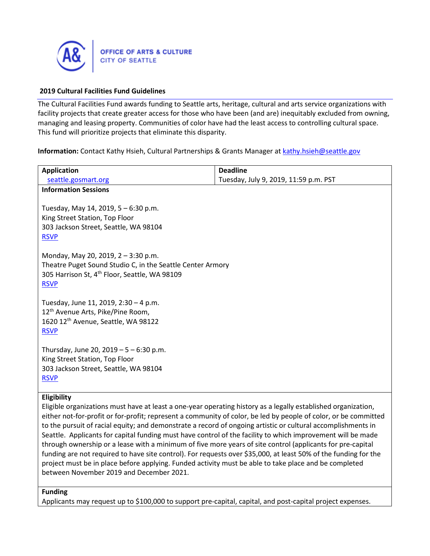

#### **2019 Cultural Facilities Fund Guidelines**

The Cultural Facilities Fund awards funding to Seattle arts, heritage, cultural and arts service organizations with facility projects that create greater access for those who have been (and are) inequitably excluded from owning, managing and leasing property. Communities of color have had the least access to controlling cultural space. This fund will prioritize projects that eliminate this disparity.

**Information:** Contact Kathy Hsieh, Cultural Partnerships & Grants Manager a[t kathy.hsieh@seattle.gov](mailto:kathy.hsieh@seattle.gov)

| <b>Application</b>                                         | <b>Deadline</b>                       |
|------------------------------------------------------------|---------------------------------------|
| seattle.gosmart.org                                        | Tuesday, July 9, 2019, 11:59 p.m. PST |
| <b>Information Sessions</b>                                |                                       |
|                                                            |                                       |
| Tuesday, May 14, 2019, 5 - 6:30 p.m.                       |                                       |
| King Street Station, Top Floor                             |                                       |
| 303 Jackson Street, Seattle, WA 98104                      |                                       |
| <b>RSVP</b>                                                |                                       |
|                                                            |                                       |
| Monday, May 20, 2019, 2 - 3:30 p.m.                        |                                       |
| Theatre Puget Sound Studio C, in the Seattle Center Armory |                                       |
| 305 Harrison St, 4 <sup>th</sup> Floor, Seattle, WA 98109  |                                       |
| <b>RSVP</b>                                                |                                       |
|                                                            |                                       |
| Tuesday, June 11, 2019, 2:30 - 4 p.m.                      |                                       |
| 12 <sup>th</sup> Avenue Arts, Pike/Pine Room,              |                                       |
| 1620 12th Avenue, Seattle, WA 98122                        |                                       |
| <b>RSVP</b>                                                |                                       |
|                                                            |                                       |
| Thursday, June 20, 2019 $-5 - 6:30$ p.m.                   |                                       |
| King Street Station, Top Floor                             |                                       |
| 303 Jackson Street, Seattle, WA 98104                      |                                       |
| <b>RSVP</b>                                                |                                       |
|                                                            |                                       |
| $- \cdots$                                                 |                                       |

#### **Eligibility**

Eligible organizations must have at least a one-year operating history as a legally established organization, either not-for-profit or for-profit; represent a community of color, be led by people of color, or be committed to the pursuit of racial equity; and demonstrate a record of ongoing artistic or cultural accomplishments in Seattle. Applicants for capital funding must have control of the facility to which improvement will be made through ownership or a lease with a minimum of five more years of site control (applicants for pre-capital funding are not required to have site control). For requests over \$35,000, at least 50% of the funding for the project must be in place before applying. Funded activity must be able to take place and be completed between November 2019 and December 2021.

#### **Funding**

Applicants may request up to \$100,000 to support pre-capital, capital, and post-capital project expenses.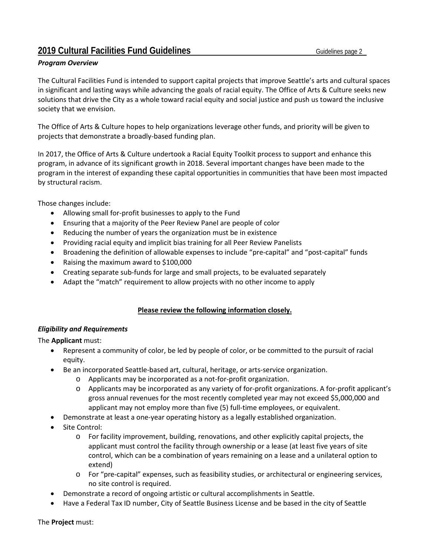# **2019 Cultural Facilities Fund Guidelines Cultural Facilities Fund Guidelines Cultural Facilities Fund Guidelines Cultural**

#### *Program Overview*

The Cultural Facilities Fund is intended to support capital projects that improve Seattle's arts and cultural spaces in significant and lasting ways while advancing the goals of racial equity. The Office of Arts & Culture seeks new solutions that drive the City as a whole toward racial equity and social justice and push us toward the inclusive society that we envision.

The Office of Arts & Culture hopes to help organizations leverage other funds, and priority will be given to projects that demonstrate a broadly-based funding plan.

In 2017, the Office of Arts & Culture undertook a Racial Equity Toolkit process to support and enhance this program, in advance of its significant growth in 2018. Several important changes have been made to the program in the interest of expanding these capital opportunities in communities that have been most impacted by structural racism.

Those changes include:

- Allowing small for-profit businesses to apply to the Fund
- Ensuring that a majority of the Peer Review Panel are people of color
- Reducing the number of years the organization must be in existence
- Providing racial equity and implicit bias training for all Peer Review Panelists
- Broadening the definition of allowable expenses to include "pre-capital" and "post-capital" funds
- Raising the maximum award to \$100,000
- Creating separate sub-funds for large and small projects, to be evaluated separately
- Adapt the "match" requirement to allow projects with no other income to apply

#### **Please review the following information closely.**

#### *Eligibility and Requirements*

The **Applicant** must:

- Represent a community of color, be led by people of color, or be committed to the pursuit of racial equity.
- Be an incorporated Seattle-based art, cultural, heritage, or arts-service organization.
	- o Applicants may be incorporated as a not-for-profit organization.
	- o Applicants may be incorporated as any variety of for-profit organizations. A for-profit applicant's gross annual revenues for the most recently completed year may not exceed \$5,000,000 and applicant may not employ more than five (5) full-time employees, or equivalent.
- Demonstrate at least a one-year operating history as a legally established organization.
- Site Control:
	- o For facility improvement, building, renovations, and other explicitly capital projects, the applicant must control the facility through ownership or a lease (at least five years of site control, which can be a combination of years remaining on a lease and a unilateral option to extend)
	- o For "pre-capital" expenses, such as feasibility studies, or architectural or engineering services, no site control is required.
- Demonstrate a record of ongoing artistic or cultural accomplishments in Seattle.
- Have a Federal Tax ID number, City of Seattle Business License and be based in the city of Seattle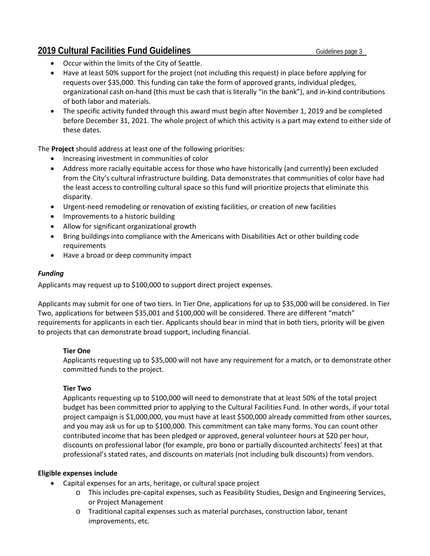# **2019 Cultural Facilities Fund Guidelines Cultural Facilities Fund Guidelines Cultural Facilities Fund Guidelines Cultural**

- Occur within the limits of the City of Seattle.
- Have at least 50% support for the project (not including this request) in place before applying for requests over \$35,000. This funding can take the form of approved grants, individual pledges, organizational cash on-hand (this must be cash that is literally "in the bank"), and in-kind contributions of both labor and materials.
- The specific activity funded through this award must begin after November 1, 2019 and be completed before December 31, 2021. The whole project of which this activity is a part may extend to either side of these dates.

The **Project** should address at least one of the following priorities:

- Increasing investment in communities of color
- Address more racially equitable access for those who have historically (and currently) been excluded from the City's cultural infrastructure building. Data demonstrates that communities of color have had the least access to controlling cultural space so this fund will prioritize projects that eliminate this disparity.
- Urgent-need remodeling or renovation of existing facilities, or creation of new facilities
- Improvements to a historic building
- Allow for significant organizational growth
- Bring buildings into compliance with the Americans with Disabilities Act or other building code requirements
- Have a broad or deep community impact

#### *Funding*

Applicants may request up to \$100,000 to support direct project expenses.

Applicants may submit for one of two tiers. In Tier One, applications for up to \$35,000 will be considered. In Tier Two, applications for between \$35,001 and \$100,000 will be considered. There are different "match" requirements for applicants in each tier. Applicants should bear in mind that in both tiers, priority will be given to projects that can demonstrate broad support, including financial.

#### **Tier One**

Applicants requesting up to \$35,000 will not have any requirement for a match, or to demonstrate other committed funds to the project.

#### **Tier Two**

Applicants requesting up to \$100,000 will need to demonstrate that at least 50% of the total project budget has been committed prior to applying to the Cultural Facilities Fund. In other words, if your total project campaign is \$1,000,000, you must have at least \$500,000 already committed from other sources, and you may ask us for up to \$100,000. This commitment can take many forms. You can count other contributed income that has been pledged or approved, general volunteer hours at \$20 per hour, discounts on professional labor (for example, pro bono or partially discounted architects' fees) at that professional's stated rates, and discounts on materials (not including bulk discounts) from vendors.

#### **Eligible expenses include**

- Capital expenses for an arts, heritage, or cultural space project
	- o This includes pre-capital expenses, such as Feasibility Studies, Design and Engineering Services, or Project Management
	- o Traditional capital expenses such as material purchases, construction labor, tenant improvements, etc.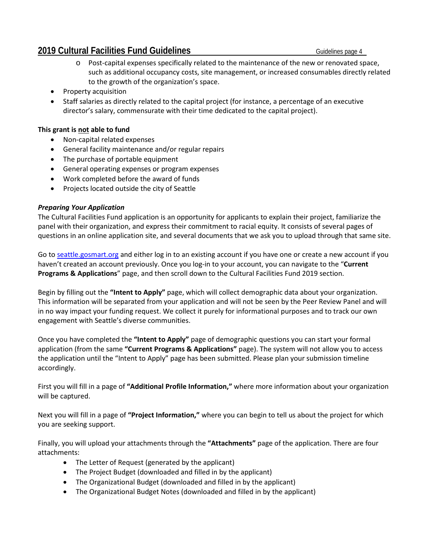- o Post-capital expenses specifically related to the maintenance of the new or renovated space, such as additional occupancy costs, site management, or increased consumables directly related to the growth of the organization's space.
- Property acquisition
- Staff salaries as directly related to the capital project (for instance, a percentage of an executive director's salary, commensurate with their time dedicated to the capital project).

## **This grant is not able to fund**

- Non-capital related expenses
- General facility maintenance and/or regular repairs
- The purchase of portable equipment
- General operating expenses or program expenses
- Work completed before the award of funds
- Projects located outside the city of Seattle

#### *Preparing Your Application*

The Cultural Facilities Fund application is an opportunity for applicants to explain their project, familiarize the panel with their organization, and express their commitment to racial equity. It consists of several pages of questions in an online application site, and several documents that we ask you to upload through that same site.

Go to [seattle.gosmart.org](https://seattle.gosmart.org/) and either log in to an existing account if you have one or create a new account if you haven't created an account previously. Once you log-in to your account, you can navigate to the "**Current Programs & Applications**" page, and then scroll down to the Cultural Facilities Fund 2019 section.

Begin by filling out the **"Intent to Apply"** page, which will collect demographic data about your organization. This information will be separated from your application and will not be seen by the Peer Review Panel and will in no way impact your funding request. We collect it purely for informational purposes and to track our own engagement with Seattle's diverse communities.

Once you have completed the **"Intent to Apply"** page of demographic questions you can start your formal application (from the same **"Current Programs & Applications"** page). The system will not allow you to access the application until the "Intent to Apply" page has been submitted. Please plan your submission timeline accordingly.

First you will fill in a page of **"Additional Profile Information,"** where more information about your organization will be captured.

Next you will fill in a page of **"Project Information,"** where you can begin to tell us about the project for which you are seeking support.

Finally, you will upload your attachments through the **"Attachments"** page of the application. There are four attachments:

- The Letter of Request (generated by the applicant)
- The Project Budget (downloaded and filled in by the applicant)
- The Organizational Budget (downloaded and filled in by the applicant)
- The Organizational Budget Notes (downloaded and filled in by the applicant)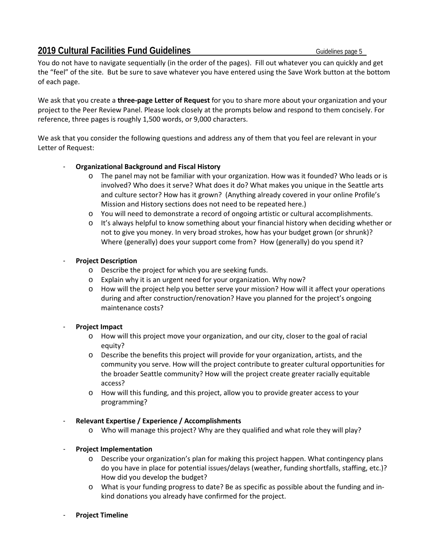You do not have to navigate sequentially (in the order of the pages). Fill out whatever you can quickly and get the "feel" of the site. But be sure to save whatever you have entered using the Save Work button at the bottom of each page.

We ask that you create a **three-page Letter of Request** for you to share more about your organization and your project to the Peer Review Panel. Please look closely at the prompts below and respond to them concisely. For reference, three pages is roughly 1,500 words, or 9,000 characters.

We ask that you consider the following questions and address any of them that you feel are relevant in your Letter of Request:

## - **Organizational Background and Fiscal History**

- o The panel may not be familiar with your organization. How was it founded? Who leads or is involved? Who does it serve? What does it do? What makes you unique in the Seattle arts and culture sector? How has it grown? (Anything already covered in your online Profile's Mission and History sections does not need to be repeated here.)
- o You will need to demonstrate a record of ongoing artistic or cultural accomplishments.
- o It's always helpful to know something about your financial history when deciding whether or not to give you money. In very broad strokes, how has your budget grown (or shrunk)? Where (generally) does your support come from? How (generally) do you spend it?

## - **Project Description**

- o Describe the project for which you are seeking funds.
- o Explain why it is an urgent need for your organization. Why now?
- o How will the project help you better serve your mission? How will it affect your operations during and after construction/renovation? Have you planned for the project's ongoing maintenance costs?

## - **Project Impact**

- o How will this project move your organization, and our city, closer to the goal of racial equity?
- o Describe the benefits this project will provide for your organization, artists, and the community you serve. How will the project contribute to greater cultural opportunities for the broader Seattle community? How will the project create greater racially equitable access?
- o How will this funding, and this project, allow you to provide greater access to your programming?

## - **Relevant Expertise / Experience / Accomplishments**

o Who will manage this project? Why are they qualified and what role they will play?

## - **Project Implementation**

- o Describe your organization's plan for making this project happen. What contingency plans do you have in place for potential issues/delays (weather, funding shortfalls, staffing, etc.)? How did you develop the budget?
- o What is your funding progress to date? Be as specific as possible about the funding and inkind donations you already have confirmed for the project.
- **Project Timeline**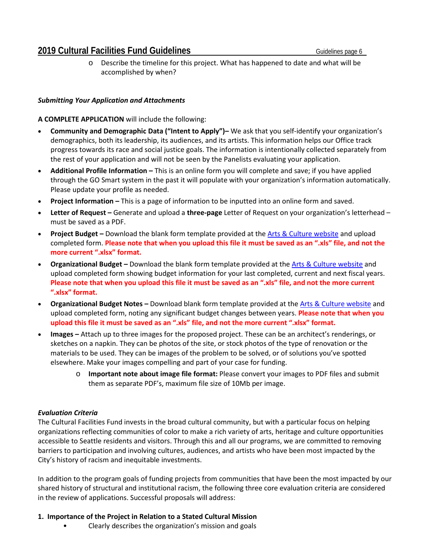o Describe the timeline for this project. What has happened to date and what will be accomplished by when?

## *Submitting Your Application and Attachments*

## **A COMPLETE APPLICATION** will include the following:

- **Community and Demographic Data ("Intent to Apply")–** We ask that you self-identify your organization's demographics, both its leadership, its audiences, and its artists. This information helps our Office track progress towards its race and social justice goals. The information is intentionally collected separately from the rest of your application and will not be seen by the Panelists evaluating your application.
- **Additional Profile Information –** This is an online form you will complete and save; if you have applied through the GO Smart system in the past it will populate with your organization's information automatically. Please update your profile as needed.
- **Project Information –** This is a page of information to be inputted into an online form and saved.
- **Letter of Request –** Generate and upload a **three-page** Letter of Request on your organization's letterhead must be saved as a PDF.
- **Project Budget –** Download the blank form template provided at the [Arts & Culture website](http://www.seattle.gov/arts/cultural-facilities-fund) and upload completed form. **Please note that when you upload this file it must be saved as an ".xls" file, and not the more current ".xlsx" format.**
- **Organizational Budget –** Download the blank form template provided at th[e Arts & Culture website](http://www.seattle.gov/arts/cultural-facilities-fund) and upload completed form showing budget information for your last completed, current and next fiscal years. **Please note that when you upload this file it must be saved as an ".xls" file, and not the more current ".xlsx" format.**
- **Organizational Budget Notes –** Download blank form template provided at the [Arts & Culture website](http://www.seattle.gov/arts/cultural-facilities-fund) and upload completed form, noting any significant budget changes between years. **Please note that when you upload this file it must be saved as an ".xls" file, and not the more current ".xlsx" format.**
- **Images –** Attach up to three images for the proposed project. These can be an architect's renderings, or sketches on a napkin. They can be photos of the site, or stock photos of the type of renovation or the materials to be used. They can be images of the problem to be solved, or of solutions you've spotted elsewhere. Make your images compelling and part of your case for funding.
	- o **Important note about image file format:** Please convert your images to PDF files and submit them as separate PDF's, maximum file size of 10Mb per image.

#### *Evaluation Criteria*

The Cultural Facilities Fund invests in the broad cultural community, but with a particular focus on helping organizations reflecting communities of color to make a rich variety of arts, heritage and culture opportunities accessible to Seattle residents and visitors. Through this and all our programs, we are committed to removing barriers to participation and involving cultures, audiences, and artists who have been most impacted by the City's history of racism and inequitable investments.

In addition to the program goals of funding projects from communities that have been the most impacted by our shared history of structural and institutional racism, the following three core evaluation criteria are considered in the review of applications. Successful proposals will address:

#### **1. Importance of the Project in Relation to a Stated Cultural Mission**

• Clearly describes the organization's mission and goals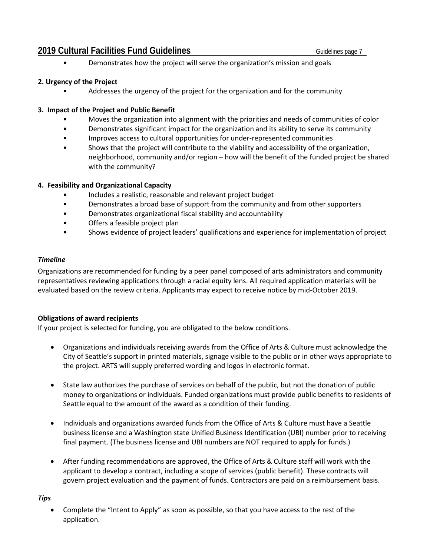• Demonstrates how the project will serve the organization's mission and goals

## **2. Urgency of the Project**

• Addresses the urgency of the project for the organization and for the community

## **3. Impact of the Project and Public Benefit**

- Moves the organization into alignment with the priorities and needs of communities of color
- Demonstrates significant impact for the organization and its ability to serve its community
- Improves access to cultural opportunities for under-represented communities
- Shows that the project will contribute to the viability and accessibility of the organization, neighborhood, community and/or region – how will the benefit of the funded project be shared with the community?

## **4. Feasibility and Organizational Capacity**

- Includes a realistic, reasonable and relevant project budget
- Demonstrates a broad base of support from the community and from other supporters
- Demonstrates organizational fiscal stability and accountability
- Offers a feasible project plan
- Shows evidence of project leaders' qualifications and experience for implementation of project

## *Timeline*

Organizations are recommended for funding by a peer panel composed of arts administrators and community representatives reviewing applications through a racial equity lens. All required application materials will be evaluated based on the review criteria. Applicants may expect to receive notice by mid-October 2019.

## **Obligations of award recipients**

If your project is selected for funding, you are obligated to the below conditions.

- Organizations and individuals receiving awards from the Office of Arts & Culture must acknowledge the City of Seattle's support in printed materials, signage visible to the public or in other ways appropriate to the project. ARTS will supply preferred wording and logos in electronic format.
- State law authorizes the purchase of services on behalf of the public, but not the donation of public money to organizations or individuals. Funded organizations must provide public benefits to residents of Seattle equal to the amount of the award as a condition of their funding.
- Individuals and organizations awarded funds from the Office of Arts & Culture must have a Seattle business license and a Washington state Unified Business Identification (UBI) number prior to receiving final payment. (The business license and UBI numbers are NOT required to apply for funds.)
- After funding recommendations are approved, the Office of Arts & Culture staff will work with the applicant to develop a contract, including a scope of services (public benefit). These contracts will govern project evaluation and the payment of funds. Contractors are paid on a reimbursement basis.

#### *Tips*

• Complete the "Intent to Apply" as soon as possible, so that you have access to the rest of the application.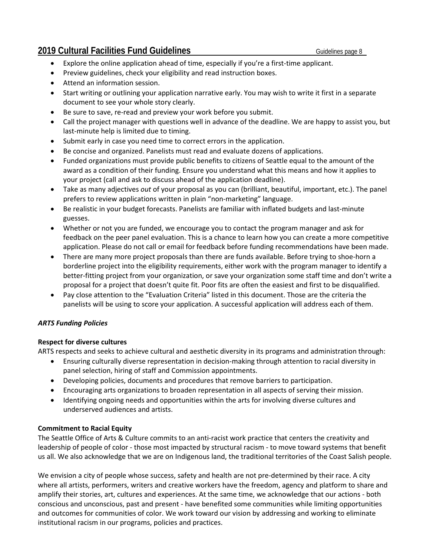- Explore the online application ahead of time, especially if you're a first-time applicant.
- Preview guidelines, check your eligibility and read instruction boxes.
- Attend an information session.
- Start writing or outlining your application narrative early. You may wish to write it first in a separate document to see your whole story clearly.
- Be sure to save, re-read and preview your work before you submit.
- Call the project manager with questions well in advance of the deadline. We are happy to assist you, but last-minute help is limited due to timing.
- Submit early in case you need time to correct errors in the application.
- Be concise and organized. Panelists must read and evaluate dozens of applications.
- Funded organizations must provide public benefits to citizens of Seattle equal to the amount of the award as a condition of their funding. Ensure you understand what this means and how it applies to your project (call and ask to discuss ahead of the application deadline).
- Take as many adjectives *out* of your proposal as you can (brilliant, beautiful, important, etc.). The panel prefers to review applications written in plain "non-marketing" language.
- Be realistic in your budget forecasts. Panelists are familiar with inflated budgets and last-minute guesses.
- Whether or not you are funded, we encourage you to contact the program manager and ask for feedback on the peer panel evaluation. This is a chance to learn how you can create a more competitive application. Please do not call or email for feedback before funding recommendations have been made.
- There are many more project proposals than there are funds available. Before trying to shoe-horn a borderline project into the eligibility requirements, either work with the program manager to identify a better-fitting project from your organization, or save your organization some staff time and don't write a proposal for a project that doesn't quite fit. Poor fits are often the easiest and first to be disqualified.
- Pay close attention to the "Evaluation Criteria" listed in this document. Those are the criteria the panelists will be using to score your application. A successful application will address each of them.

## *ARTS Funding Policies*

## **Respect for diverse cultures**

ARTS respects and seeks to achieve cultural and aesthetic diversity in its programs and administration through:

- Ensuring culturally diverse representation in decision-making through attention to racial diversity in panel selection, hiring of staff and Commission appointments.
- Developing policies, documents and procedures that remove barriers to participation.
- Encouraging arts organizations to broaden representation in all aspects of serving their mission.
- Identifying ongoing needs and opportunities within the arts for involving diverse cultures and underserved audiences and artists.

## **Commitment to Racial Equity**

The Seattle Office of Arts & Culture commits to an anti-racist work practice that centers the creativity and leadership of people of color - those most impacted by structural racism - to move toward systems that benefit us all. We also acknowledge that we are on Indigenous land, the traditional territories of the Coast Salish people.

We envision a city of people whose success, safety and health are not pre-determined by their race. A city where all artists, performers, writers and creative workers have the freedom, agency and platform to share and amplify their stories, art, cultures and experiences. At the same time, we acknowledge that our actions - both conscious and unconscious, past and present - have benefited some communities while limiting opportunities and outcomes for communities of color. We work toward our vision by addressing and working to eliminate institutional racism in our programs, policies and practices.